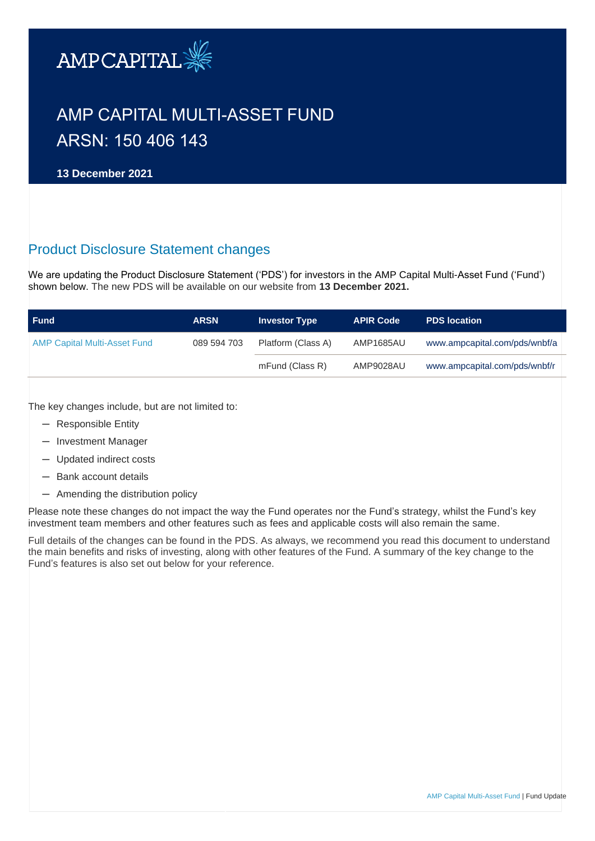

# AMP CAPITAL MULTI-ASSET FUND ARSN: 150 406 143

**13 December 2021**

## Product Disclosure Statement changes

We are updating the Product Disclosure Statement ('PDS') for investors in the AMP Capital Multi-Asset Fund ('Fund') shown below. The new PDS will be available on our website from **13 December 2021.** 

| <b>Fund</b>                  | <b>ARSN</b> | <b>Investor Type</b> | <b>APIR Code</b> | <b>PDS location</b>           |
|------------------------------|-------------|----------------------|------------------|-------------------------------|
| AMP Capital Multi-Asset Fund | 089 594 703 | Platform (Class A)   |                  | www.ampcapital.com/pds/wnbf/a |
|                              |             | mFund (Class R)      | AMP9028AU        | www.ampcapital.com/pds/wnbf/r |

The key changes include, but are not limited to:

- ─ Responsible Entity
- ─ Investment Manager
- ─ Updated indirect costs
- ─ Bank account details
- ─ Amending the distribution policy

Please note these changes do not impact the way the Fund operates nor the Fund's strategy, whilst the Fund's key investment team members and other features such as fees and applicable costs will also remain the same.

Full details of the changes can be found in the PDS. As always, we recommend you read this document to understand the main benefits and risks of investing, along with other features of the Fund. A summary of the key change to the Fund's features is also set out below for your reference.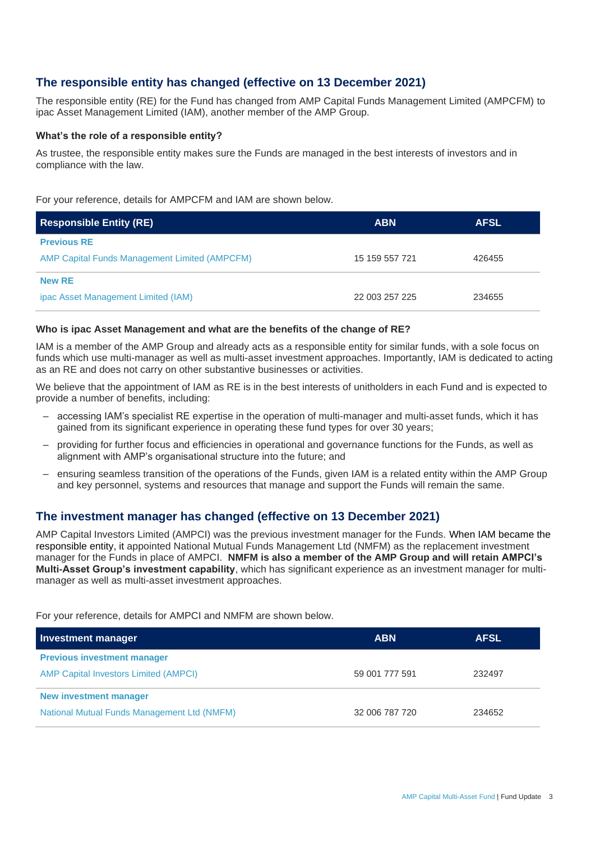## **The responsible entity has changed (effective on 13 December 2021)**

The responsible entity (RE) for the Fund has changed from AMP Capital Funds Management Limited (AMPCFM) to ipac Asset Management Limited (IAM), another member of the AMP Group.

#### **What's the role of a responsible entity?**

As trustee, the responsible entity makes sure the Funds are managed in the best interests of investors and in compliance with the law.

For your reference, details for AMPCFM and IAM are shown below.

| <b>Responsible Entity (RE)</b>                       | <b>ABN</b>     | <b>AFSL</b> |
|------------------------------------------------------|----------------|-------------|
| <b>Previous RE</b>                                   |                |             |
| <b>AMP Capital Funds Management Limited (AMPCFM)</b> | 15 159 557 721 | 426455      |
| <b>New RE</b>                                        |                |             |
| ipac Asset Management Limited (IAM)                  | 22 003 257 225 | 234655      |

#### **Who is ipac Asset Management and what are the benefits of the change of RE?**

IAM is a member of the AMP Group and already acts as a responsible entity for similar funds, with a sole focus on funds which use multi-manager as well as multi-asset investment approaches. Importantly, IAM is dedicated to acting as an RE and does not carry on other substantive businesses or activities.

We believe that the appointment of IAM as RE is in the best interests of unitholders in each Fund and is expected to provide a number of benefits, including:

- accessing IAM's specialist RE expertise in the operation of multi-manager and multi-asset funds, which it has gained from its significant experience in operating these fund types for over 30 years;
- providing for further focus and efficiencies in operational and governance functions for the Funds, as well as alignment with AMP's organisational structure into the future; and
- ensuring seamless transition of the operations of the Funds, given IAM is a related entity within the AMP Group and key personnel, systems and resources that manage and support the Funds will remain the same.

## **The investment manager has changed (effective on 13 December 2021)**

AMP Capital Investors Limited (AMPCI) was the previous investment manager for the Funds. When IAM became the responsible entity, it appointed National Mutual Funds Management Ltd (NMFM) as the replacement investment manager for the Funds in place of AMPCI. **NMFM is also a member of the AMP Group and will retain AMPCI's Multi-Asset Group's investment capability**, which has significant experience as an investment manager for multimanager as well as multi-asset investment approaches.

For your reference, details for AMPCI and NMFM are shown below.

| Investment manager                           | <b>ABN</b>     | <b>AFSL</b> |
|----------------------------------------------|----------------|-------------|
| <b>Previous investment manager</b>           |                |             |
| <b>AMP Capital Investors Limited (AMPCI)</b> | 59 001 777 591 | 232497      |
| <b>New investment manager</b>                |                |             |
| National Mutual Funds Management Ltd (NMFM)  | 32 006 787 720 | 234652      |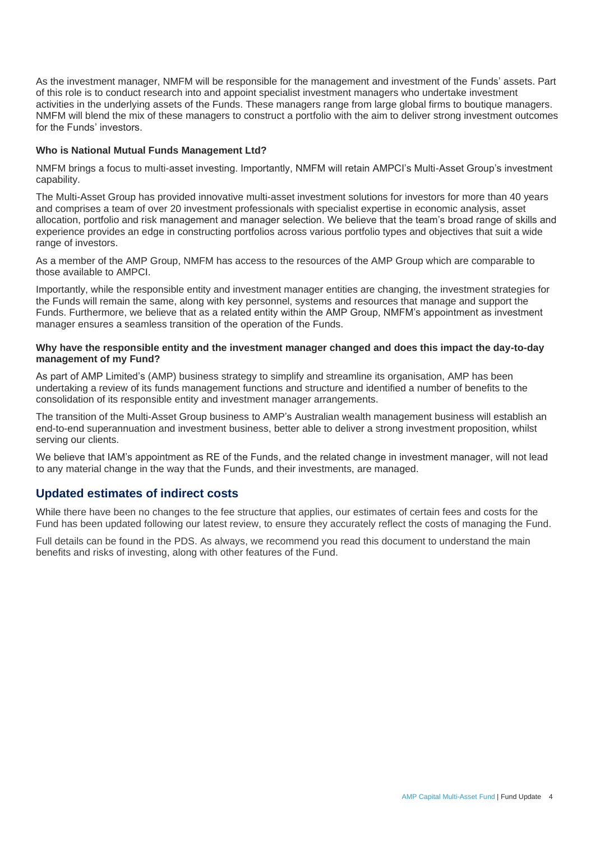As the investment manager, NMFM will be responsible for the management and investment of the Funds' assets. Part of this role is to conduct research into and appoint specialist investment managers who undertake investment activities in the underlying assets of the Funds. These managers range from large global firms to boutique managers. NMFM will blend the mix of these managers to construct a portfolio with the aim to deliver strong investment outcomes for the Funds' investors.

#### **Who is National Mutual Funds Management Ltd?**

NMFM brings a focus to multi-asset investing. Importantly, NMFM will retain AMPCI's Multi-Asset Group's investment capability.

The Multi-Asset Group has provided innovative multi-asset investment solutions for investors for more than 40 years and comprises a team of over 20 investment professionals with specialist expertise in economic analysis, asset allocation, portfolio and risk management and manager selection. We believe that the team's broad range of skills and experience provides an edge in constructing portfolios across various portfolio types and objectives that suit a wide range of investors.

As a member of the AMP Group, NMFM has access to the resources of the AMP Group which are comparable to those available to AMPCI.

Importantly, while the responsible entity and investment manager entities are changing, the investment strategies for the Funds will remain the same, along with key personnel, systems and resources that manage and support the Funds. Furthermore, we believe that as a related entity within the AMP Group, NMFM's appointment as investment manager ensures a seamless transition of the operation of the Funds.

#### **Why have the responsible entity and the investment manager changed and does this impact the day-to-day management of my Fund?**

As part of AMP Limited's (AMP) business strategy to simplify and streamline its organisation, AMP has been undertaking a review of its funds management functions and structure and identified a number of benefits to the consolidation of its responsible entity and investment manager arrangements.

The transition of the Multi-Asset Group business to AMP's Australian wealth management business will establish an end-to-end superannuation and investment business, better able to deliver a strong investment proposition, whilst serving our clients.

We believe that IAM's appointment as RE of the Funds, and the related change in investment manager, will not lead to any material change in the way that the Funds, and their investments, are managed.

## **Updated estimates of indirect costs**

While there have been no changes to the fee structure that applies, our estimates of certain fees and costs for the Fund has been updated following our latest review, to ensure they accurately reflect the costs of managing the Fund.

Full details can be found in the PDS. As always, we recommend you read this document to understand the main benefits and risks of investing, along with other features of the Fund.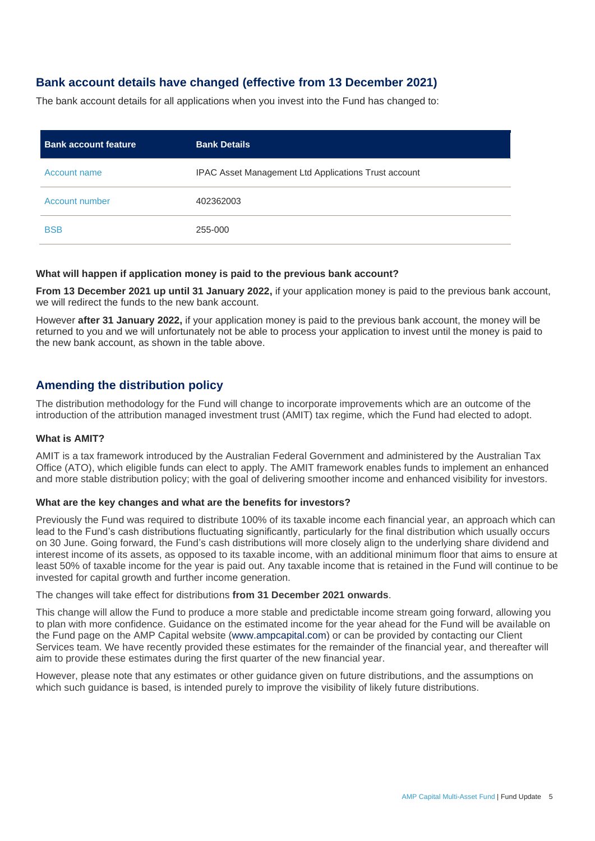## **Bank account details have changed (effective from 13 December 2021)**

The bank account details for all applications when you invest into the Fund has changed to:

| <b>Bank account feature</b> | <b>Bank Details</b>                                  |
|-----------------------------|------------------------------------------------------|
| Account name                | IPAC Asset Management Ltd Applications Trust account |
| Account number              | 402362003                                            |
| <b>BSB</b>                  | 255-000                                              |

#### **What will happen if application money is paid to the previous bank account?**

**From 13 December 2021 up until 31 January 2022,** if your application money is paid to the previous bank account, we will redirect the funds to the new bank account.

However **after 31 January 2022,** if your application money is paid to the previous bank account, the money will be returned to you and we will unfortunately not be able to process your application to invest until the money is paid to the new bank account, as shown in the table above.

## **Amending the distribution policy**

The distribution methodology for the Fund will change to incorporate improvements which are an outcome of the introduction of the attribution managed investment trust (AMIT) tax regime, which the Fund had elected to adopt.

#### **What is AMIT?**

AMIT is a tax framework introduced by the Australian Federal Government and administered by the Australian Tax Office (ATO), which eligible funds can elect to apply. The AMIT framework enables funds to implement an enhanced and more stable distribution policy; with the goal of delivering smoother income and enhanced visibility for investors.

#### **What are the key changes and what are the benefits for investors?**

Previously the Fund was required to distribute 100% of its taxable income each financial year, an approach which can lead to the Fund's cash distributions fluctuating significantly, particularly for the final distribution which usually occurs on 30 June. Going forward, the Fund's cash distributions will more closely align to the underlying share dividend and interest income of its assets, as opposed to its taxable income, with an additional minimum floor that aims to ensure at least 50% of taxable income for the year is paid out. Any taxable income that is retained in the Fund will continue to be invested for capital growth and further income generation.

#### The changes will take effect for distributions **from 31 December 2021 onwards**.

This change will allow the Fund to produce a more stable and predictable income stream going forward, allowing you to plan with more confidence. Guidance on the estimated income for the year ahead for the Fund will be available on the Fund page on the AMP Capital website [\(www.ampcapital.com\)](http://www.ampcapital.com/) or can be provided by contacting our Client Services team. We have recently provided these estimates for the remainder of the financial year, and thereafter will aim to provide these estimates during the first quarter of the new financial year.

However, please note that any estimates or other guidance given on future distributions, and the assumptions on which such guidance is based, is intended purely to improve the visibility of likely future distributions.